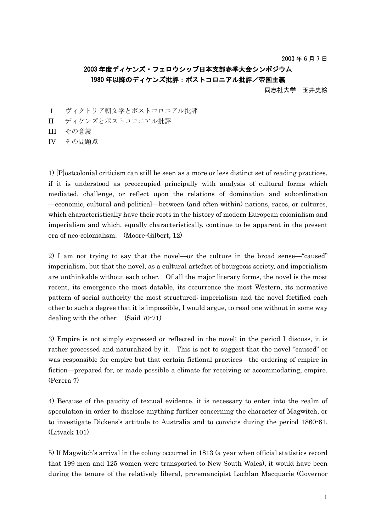2003 年 6 月 7 日

## 2003 年度ディケンズ・フェロウシップ日本支部春季大会シンポジウム 1980 年以降のディケンズ批評:ポストコロニアル批評/帝国主義

同志社大学 玉井史絵

- I ヴィクトリア朝文学とポストコロニアル批評
- II ディケンズとポストコロニアル批評
- III その意義
- IV その問題点

1) [P]ostcolonial criticism can still be seen as a more or less distinct set of reading practices, if it is understood as preoccupied principally with analysis of cultural forms which mediated, challenge, or reflect upon the relations of domination and subordination —economic, cultural and political—between (and often within) nations, races, or cultures, which characteristically have their roots in the history of modern European colonialism and imperialism and which, equally characteristically, continue to be apparent in the present era of neo-colonialism. (Moore-Gilbert, 12)

2) I am not trying to say that the novel—or the culture in the broad sense—"caused" imperialism, but that the novel, as a cultural artefact of bourgeois society, and imperialism are unthinkable without each other. Of all the major literary forms, the novel is the most recent, its emergence the most datable, its occurrence the most Western, its normative pattern of social authority the most structured; imperialism and the novel fortified each other to such a degree that it is impossible, I would argue, to read one without in some way dealing with the other. (Said 70-71)

3) Empire is not simply expressed or reflected in the novel; in the period I discuss, it is rather processed and naturalized by it. This is not to suggest that the novel "caused" or was responsible for empire but that certain fictional practices—the ordering of empire in fiction—prepared for, or made possible a climate for receiving or accommodating, empire. (Perera 7)

4) Because of the paucity of textual evidence, it is necessary to enter into the realm of speculation in order to disclose anything further concerning the character of Magwitch, or to investigate Dickens's attitude to Australia and to convicts during the period 1860-61. (Litvack 101)

5) If Magwitch's arrival in the colony occurred in 1813 (a year when official statistics record that 199 men and 125 women were transported to New South Wales), it would have been during the tenure of the relatively liberal, pro-emancipist Lachlan Macquarie (Governor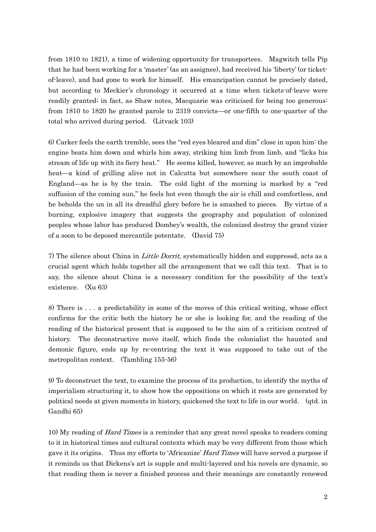from 1810 to 1821), a time of widening opportunity for transportees. Magwitch tells Pip that he had been working for a 'master' (as an assignee), had received his 'liberty' (or ticketof-leave), and had gone to work for himself. His emancipation cannot be precisely dated, but according to Meckier's chronology it occurred at a time when tickets-of-leave were readily granted; in fact, as Shaw notes, Macquarie was criticised for being too generous: from 1810 to 1820 he granted parole to 2319 convicts—or one-fifth to one-quarter of the total who arrived during period. (Litvack 103)

6) Carker feels the earth tremble, sees the "red eyes bleared and dim" close in upon him: the engine beats him down and whirls him away, striking him limb from limb, and "licks his stream of life up with its fiery heat." He seems killed, however, as much by an improbable heat—a kind of grilling alive not in Calcutta but somewhere near the south coast of England—as he is by the train. The cold light of the morning is marked by a "red suffusion of the coming sun," he feels hot even though the air is chill and comfortless, and he beholds the un in all its dreadful glory before he is smashed to pieces. By virtue of a burning, explosive imagery that suggests the geography and population of colonized peoples whose labor has produced Dombey's wealth, the colonized destroy the grand vizier of a soon to be deposed mercantile potentate. (David 75)

7) The silence about China in Little Dorrit, systematically hidden and suppressd, acts as a crucial agent which holds together all the arrangement that we call this text. That is to say, the silence about China is a necessary condition for the possibility of the text's existence. (Xu 63)

8) There is . . . a predictability in some of the moves of this critical writing, whose effect confirms for the critic both the history he or she is looking for, and the reading of the reading of the historical present that is supposed to be the aim of a criticism centred of history. The deconstructive move itself, which finds the colonialist the haunted and demonic figure, ends up by re-centring the text it was supposed to take out of the metropolitan context. (Tambling 155-56)

9) To deconstruct the text, to examine the process of its production, to identify the myths of imperialism structuring it, to show how the oppositions on which it rests are generated by political needs at given moments in history, quickened the text to life in our world. (qtd. in Gandhi 65)

10) My reading of *Hard Times* is a reminder that any great novel speaks to readers coming to it in historical times and cultural contexts which may be very different from those which gave it its origins. Thus my efforts to 'Africanize' *Hard Times* will have served a purpose if it reminds us that Dickens's art is supple and multi-layered and his novels are dynamic, so that reading them is never a finished process and their meanings are constantly renewed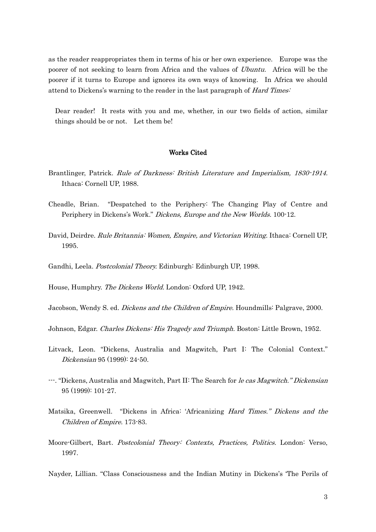as the reader reappropriates them in terms of his or her own experience. Europe was the poorer of not seeking to learn from Africa and the values of *Ubuntu*. Africa will be the poorer if it turns to Europe and ignores its own ways of knowing. In Africa we should attend to Dickens's warning to the reader in the last paragraph of Hard Times:

Dear reader! It rests with you and me, whether, in our two fields of action, similar things should be or not. Let them be!

## Works Cited

- Brantlinger, Patrick. Rule of Darkness: British Literature and Imperialism, 1830-1914. Ithaca: Cornell UP, 1988.
- Cheadle, Brian. "Despatched to the Periphery: The Changing Play of Centre and Periphery in Dickens's Work." Dickens, Europe and the New Worlds. 100-12.
- David, Deirdre. Rule Britannia: Women, Empire, and Victorian Writing. Ithaca: Cornell UP, 1995.
- Gandhi, Leela. Postcolonial Theory. Edinburgh: Edinburgh UP, 1998.

House, Humphry. The Dickens World. London: Oxford UP, 1942.

Jacobson, Wendy S. ed. *Dickens and the Children of Empire*. Houndmills: Palgrave, 2000.

Johnson, Edgar. Charles Dickens: His Tragedy and Triumph. Boston: Little Brown, 1952.

- Litvack, Leon. "Dickens, Australia and Magwitch, Part I: The Colonial Context." Dickensian 95 (1999): 24-50.
- ---. "Dickens, Australia and Magwitch, Part II: The Search for le cas Magwitch." Dickensian 95 (1999): 101-27.
- Matsika, Greenwell. "Dickens in Africa: 'Africanizing Hard Times." Dickens and the Children of Empire. 173-83.
- Moore-Gilbert, Bart. Postcolonial Theory: Contexts, Practices, Politics. London: Verso, 1997.

Nayder, Lillian. "Class Consciousness and the Indian Mutiny in Dickens's 'The Perils of